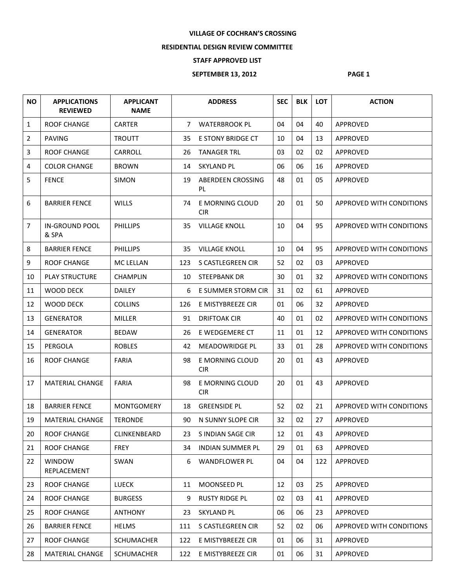## **VILLAGE OF COCHRAN'S CROSSING**

## **RESIDENTIAL DESIGN REVIEW COMMITTEE**

## **STAFF APPROVED LIST**

## **SEPTEMBER 13, 2012 PAGE 1**

| <b>NO</b>    | <b>APPLICATIONS</b><br><b>REVIEWED</b> | <b>APPLICANT</b><br><b>NAME</b> |             | <b>ADDRESS</b>                | <b>SEC</b> | <b>BLK</b> | <b>LOT</b> | <b>ACTION</b>            |
|--------------|----------------------------------------|---------------------------------|-------------|-------------------------------|------------|------------|------------|--------------------------|
| $\mathbf{1}$ | <b>ROOF CHANGE</b>                     | <b>CARTER</b>                   | $7^{\circ}$ | <b>WATERBROOK PL</b>          | 04         | 04         | 40         | APPROVED                 |
| 2            | <b>PAVING</b>                          | <b>TROUTT</b>                   | 35          | <b>E STONY BRIDGE CT</b>      | 10         | 04         | 13         | APPROVED                 |
| 3            | ROOF CHANGE                            | CARROLL                         | 26          | <b>TANAGER TRL</b>            | 03         | 02         | 02         | APPROVED                 |
| 4            | <b>COLOR CHANGE</b>                    | <b>BROWN</b>                    | 14          | <b>SKYLAND PL</b>             | 06         | 06         | 16         | APPROVED                 |
| 5            | <b>FENCE</b>                           | <b>SIMON</b>                    | 19          | ABERDEEN CROSSING<br>PL.      | 48         | 01         | 05         | APPROVED                 |
| 6            | <b>BARRIER FENCE</b>                   | <b>WILLS</b>                    | 74          | E MORNING CLOUD<br><b>CIR</b> | 20         | 01         | 50         | APPROVED WITH CONDITIONS |
| 7            | <b>IN-GROUND POOL</b><br>& SPA         | <b>PHILLIPS</b>                 | 35          | <b>VILLAGE KNOLL</b>          | 10         | 04         | 95         | APPROVED WITH CONDITIONS |
| 8            | <b>BARRIER FENCE</b>                   | <b>PHILLIPS</b>                 | 35          | <b>VILLAGE KNOLL</b>          | 10         | 04         | 95         | APPROVED WITH CONDITIONS |
| 9            | <b>ROOF CHANGE</b>                     | <b>MC LELLAN</b>                | 123         | S CASTLEGREEN CIR             | 52         | 02         | 03         | APPROVED                 |
| 10           | <b>PLAY STRUCTURE</b>                  | <b>CHAMPLIN</b>                 | 10          | <b>STEEPBANK DR</b>           | 30         | 01         | 32         | APPROVED WITH CONDITIONS |
| 11           | WOOD DECK                              | <b>DAILEY</b>                   | 6           | E SUMMER STORM CIR            | 31         | 02         | 61         | APPROVED                 |
| 12           | <b>WOOD DECK</b>                       | <b>COLLINS</b>                  | 126         | E MISTYBREEZE CIR             | 01         | 06         | 32         | APPROVED                 |
| 13           | <b>GENERATOR</b>                       | <b>MILLER</b>                   | 91          | <b>DRIFTOAK CIR</b>           | 40         | 01         | 02         | APPROVED WITH CONDITIONS |
| 14           | <b>GENERATOR</b>                       | <b>BEDAW</b>                    | 26          | E WEDGEMERE CT                | 11         | 01         | 12         | APPROVED WITH CONDITIONS |
| 15           | PERGOLA                                | <b>ROBLES</b>                   | 42          | <b>MEADOWRIDGE PL</b>         | 33         | 01         | 28         | APPROVED WITH CONDITIONS |
| 16           | <b>ROOF CHANGE</b>                     | <b>FARIA</b>                    | 98          | E MORNING CLOUD<br><b>CIR</b> | 20         | 01         | 43         | APPROVED                 |
| 17           | MATERIAL CHANGE                        | <b>FARIA</b>                    | 98          | E MORNING CLOUD<br><b>CIR</b> | 20         | 01         | 43         | APPROVED                 |
| 18           | <b>BARRIER FENCE</b>                   | <b>MONTGOMERY</b>               | 18          | <b>GREENSIDE PL</b>           | 52         | 02         | 21         | APPROVED WITH CONDITIONS |
| 19           | <b>MATERIAL CHANGE</b>                 | <b>TERONDE</b>                  | 90          | N SUNNY SLOPE CIR             | 32         | 02         | 27         | <b>APPROVED</b>          |
| 20           | <b>ROOF CHANGE</b>                     | CLINKENBEARD                    | 23          | S INDIAN SAGE CIR             | 12         | 01         | 43         | APPROVED                 |
| 21           | <b>ROOF CHANGE</b>                     | <b>FREY</b>                     | 34          | <b>INDIAN SUMMER PL</b>       | 29         | 01         | 63         | APPROVED                 |
| 22           | <b>WINDOW</b><br>REPLACEMENT           | SWAN                            | 6           | WANDFLOWER PL                 | 04         | 04         | 122        | APPROVED                 |
| 23           | <b>ROOF CHANGE</b>                     | LUECK                           | 11          | MOONSEED PL                   | 12         | 03         | 25         | APPROVED                 |
| 24           | ROOF CHANGE                            | <b>BURGESS</b>                  | 9           | <b>RUSTY RIDGE PL</b>         | 02         | 03         | 41         | APPROVED                 |
| 25           | ROOF CHANGE                            | <b>ANTHONY</b>                  | 23          | <b>SKYLAND PL</b>             | 06         | 06         | 23         | APPROVED                 |
| 26           | <b>BARRIER FENCE</b>                   | <b>HELMS</b>                    | 111         | S CASTLEGREEN CIR             | 52         | 02         | 06         | APPROVED WITH CONDITIONS |
| 27           | <b>ROOF CHANGE</b>                     | <b>SCHUMACHER</b>               | 122         | E MISTYBREEZE CIR             | 01         | 06         | 31         | APPROVED                 |
| 28           | <b>MATERIAL CHANGE</b>                 | SCHUMACHER                      | 122         | E MISTYBREEZE CIR             | 01         | 06         | 31         | APPROVED                 |